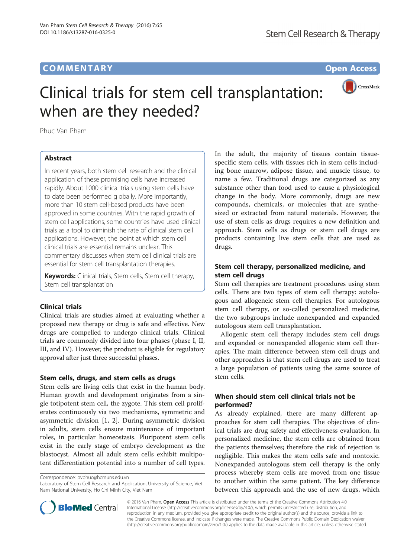# **COMMENTARY COMMENTARY Open Access**



# Clinical trials for stem cell transplantation: when are they needed?

Phuc Van Pham

## Abstract

In recent years, both stem cell research and the clinical application of these promising cells have increased rapidly. About 1000 clinical trials using stem cells have to date been performed globally. More importantly, more than 10 stem cell-based products have been approved in some countries. With the rapid growth of stem cell applications, some countries have used clinical trials as a tool to diminish the rate of clinical stem cell applications. However, the point at which stem cell clinical trials are essential remains unclear. This commentary discusses when stem cell clinical trials are essential for stem cell transplantation therapies.

Keywords: Clinical trials, Stem cells, Stem cell therapy, Stem cell transplantation

## Clinical trials

Clinical trials are studies aimed at evaluating whether a proposed new therapy or drug is safe and effective. New drugs are compelled to undergo clinical trials. Clinical trials are commonly divided into four phases (phase I, II, III, and IV). However, the product is eligible for regulatory approval after just three successful phases.

## Stem cells, drugs, and stem cells as drugs

Stem cells are living cells that exist in the human body. Human growth and development originates from a single totipotent stem cell, the zygote. This stem cell proliferates continuously via two mechanisms, symmetric and asymmetric division [[1, 2](#page-1-0)]. During asymmetric division in adults, stem cells ensure maintenance of important roles, in particular homeostasis. Pluripotent stem cells exist in the early stage of embryo development as the blastocyst. Almost all adult stem cells exhibit multipotent differentiation potential into a number of cell types.

Correspondence: [pvphuc@hcmuns.edu.vn](mailto:pvphuc@hcmuns.edu.vn)

Laboratory of Stem Cell Research and Application, University of Science, Viet Nam National University, Ho Chi Minh City, Viet Nam

In the adult, the majority of tissues contain tissuespecific stem cells, with tissues rich in stem cells including bone marrow, adipose tissue, and muscle tissue, to name a few. Traditional drugs are categorized as any substance other than food used to cause a physiological change in the body. More commonly, drugs are new compounds, chemicals, or molecules that are synthesized or extracted from natural materials. However, the use of stem cells as drugs requires a new definition and approach. Stem cells as drugs or stem cell drugs are products containing live stem cells that are used as drugs.

## Stem cell therapy, personalized medicine, and stem cell drugs

Stem cell therapies are treatment procedures using stem cells. There are two types of stem cell therapy: autologous and allogeneic stem cell therapies. For autologous stem cell therapy, or so-called personalized medicine, the two subgroups include nonexpanded and expanded autologous stem cell transplantation.

Allogenic stem cell therapy includes stem cell drugs and expanded or nonexpanded allogenic stem cell therapies. The main difference between stem cell drugs and other approaches is that stem cell drugs are used to treat a large population of patients using the same source of stem cells.

# When should stem cell clinical trials not be performed?

As already explained, there are many different approaches for stem cell therapies. The objectives of clinical trials are drug safety and effectiveness evaluation. In personalized medicine, the stem cells are obtained from the patients themselves; therefore the risk of rejection is negligible. This makes the stem cells safe and nontoxic. Nonexpanded autologous stem cell therapy is the only process whereby stem cells are moved from one tissue to another within the same patient. The key difference between this approach and the use of new drugs, which



© 2016 Van Pham. Open Access This article is distributed under the terms of the Creative Commons Attribution 4.0 International License [\(http://creativecommons.org/licenses/by/4.0/](http://creativecommons.org/licenses/by/4.0/)), which permits unrestricted use, distribution, and reproduction in any medium, provided you give appropriate credit to the original author(s) and the source, provide a link to the Creative Commons license, and indicate if changes were made. The Creative Commons Public Domain Dedication waiver [\(http://creativecommons.org/publicdomain/zero/1.0/](http://creativecommons.org/publicdomain/zero/1.0/)) applies to the data made available in this article, unless otherwise stated.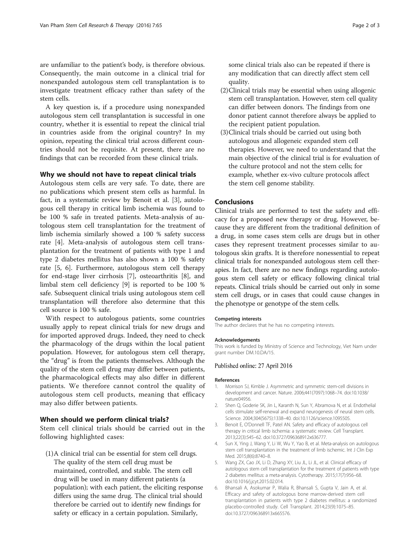<span id="page-1-0"></span>are unfamiliar to the patient's body, is therefore obvious. Consequently, the main outcome in a clinical trial for nonexpanded autologous stem cell transplantation is to investigate treatment efficacy rather than safety of the stem cells.

A key question is, if a procedure using nonexpanded autologous stem cell transplantation is successful in one country, whether it is essential to repeat the clinical trial in countries aside from the original country? In my opinion, repeating the clinical trial across different countries should not be requisite. At present, there are no findings that can be recorded from these clinical trials.

### Why we should not have to repeat clinical trials

Autologous stem cells are very safe. To date, there are no publications which present stem cells as harmful. In fact, in a systematic review by Benoit et al. [3], autologous cell therapy in critical limb ischemia was found to be 100 % safe in treated patients. Meta-analysis of autologous stem cell transplantation for the treatment of limb ischemia similarly showed a 100 % safety success rate [4]. Meta-analysis of autologous stem cell transplantation for the treatment of patients with type 1 and type 2 diabetes mellitus has also shown a 100 % safety rate [5, 6]. Furthermore, autologous stem cell therapy for end-stage liver cirrhosis [\[7\]](#page-2-0), osteoarthritis [\[8](#page-2-0)], and limbal stem cell deficiency [\[9](#page-2-0)] is reported to be 100 % safe. Subsequent clinical trials using autologous stem cell transplantation will therefore also determine that this cell source is 100 % safe.

With respect to autologous patients, some countries usually apply to repeat clinical trials for new drugs and for imported approved drugs. Indeed, they need to check the pharmacology of the drugs within the local patient population. However, for autologous stem cell therapy, the "drug" is from the patients themselves. Although the quality of the stem cell drug may differ between patients, the pharmacological effects may also differ in different patients. We therefore cannot control the quality of autologous stem cell products, meaning that efficacy may also differ between patients.

## When should we perform clinical trials?

Stem cell clinical trials should be carried out in the following highlighted cases:

(1)A clinical trial can be essential for stem cell drugs. The quality of the stem cell drug must be maintained, controlled, and stable. The stem cell drug will be used in many different patients (a population); with each patient, the eliciting response differs using the same drug. The clinical trial should therefore be carried out to identify new findings for safety or efficacy in a certain population. Similarly,

some clinical trials also can be repeated if there is any modification that can directly affect stem cell quality.

- (2)Clinical trials may be essential when using allogenic stem cell transplantation. However, stem cell quality can differ between donors. The findings from one donor patient cannot therefore always be applied to the recipient patient population.
- (3)Clinical trials should be carried out using both autologous and allogeneic expanded stem cell therapies. However, we need to understand that the main objective of the clinical trial is for evaluation of the culture protocol and not the stem cells; for example, whether ex-vivo culture protocols affect the stem cell genome stability.

## Conclusions

Clinical trials are performed to test the safety and efficacy for a proposed new therapy or drug. However, because they are different from the traditional definition of a drug, in some cases stem cells are drugs but in other cases they represent treatment processes similar to autologous skin grafts. It is therefore nonessential to repeat clinical trials for nonexpanded autologous stem cell therapies. In fact, there are no new findings regarding autologous stem cell safety or efficacy following clinical trial repeats. Clinical trials should be carried out only in some stem cell drugs, or in cases that could cause changes in the phenotype or genotype of the stem cells.

#### Competing interests

The author declares that he has no competing interests.

#### Acknowledgements

This work is funded by Ministry of Science and Technology, Viet Nam under grant number DM.10.DA/15.

#### Published online: 27 April 2016

#### References

- 1. Morrison SJ, Kimble J. Asymmetric and symmetric stem-cell divisions in development and cancer. Nature. 2006;441(7097):1068–74. doi:[10.1038/](http://dx.doi.org/10.1038/nature04956) [nature04956](http://dx.doi.org/10.1038/nature04956).
- 2. Shen Q, Goderie SK, Jin L, Karanth N, Sun Y, Abramova N, et al. Endothelial cells stimulate self-renewal and expand neurogenesis of neural stem cells. Science. 2004;304(5675):1338–40. doi:[10.1126/science.1095505](http://dx.doi.org/10.1126/science.1095505).
- 3. Benoit E, O'Donnell TF, Patel AN. Safety and efficacy of autologous cell therapy in critical limb ischemia: a systematic review. Cell Transplant. 2013;22(3):545–62. doi:[10.3727/096368912x636777](http://dx.doi.org/10.3727/096368912x636777).
- 4. Sun X, Ying J, Wang Y, Li W, Wu Y, Yao B, et al. Meta-analysis on autologous stem cell transplantation in the treatment of limb ischemic. Int J Clin Exp Med. 2015;8(6):8740–8.
- 5. Wang ZX, Cao JX, Li D, Zhang XY, Liu JL, Li JL, et al. Clinical efficacy of autologous stem cell transplantation for the treatment of patients with type 2 diabetes mellitus: a meta-analysis. Cytotherapy. 2015;17(7):956–68. doi[:10.1016/j.jcyt.2015.02.014.](http://dx.doi.org/10.1016/j.jcyt.2015.02.014)
- 6. Bhansali A, Asokumar P, Walia R, Bhansali S, Gupta V, Jain A, et al. Efficacy and safety of autologous bone marrow-derived stem cell transplantation in patients with type 2 diabetes mellitus: a randomized placebo-controlled study. Cell Transplant. 2014;23(9):1075–85. doi[:10.3727/096368913x665576.](http://dx.doi.org/10.3727/096368913x665576)